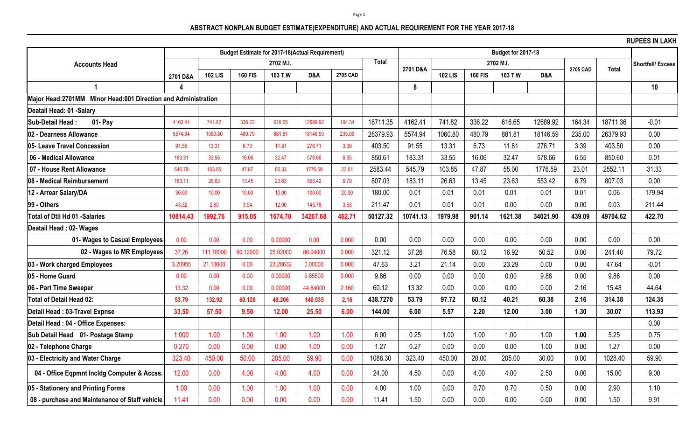## **ABSTRACT NONPLAN BUDGET ESTIMATE(EXPENDITURE) AND ACTUAL REQUIREMENT FOR THE YEAR 2017-18**

**RUPEES IN LAKH**

|                                                               |          |                |                |          | <b>Budget Estimate for 2017-18(Actual Requirement)</b> |          |              |          |                |                |           |          |              |                          |         |
|---------------------------------------------------------------|----------|----------------|----------------|----------|--------------------------------------------------------|----------|--------------|----------|----------------|----------------|-----------|----------|--------------|--------------------------|---------|
| <b>Accounts Head</b>                                          |          | 2702 M.I.      |                |          |                                                        |          | <b>Total</b> | 2701 D&A |                |                | 2702 M.I. | 2705 CAD | <b>Total</b> | <b>Shortfall/ Excess</b> |         |
|                                                               | 2701 D&A | <b>102 LIS</b> | <b>160 FIS</b> | 103 T.W  | D&A                                                    | 2705 CAD |              |          | <b>102 LIS</b> | <b>160 FIS</b> | 103 T.W   | D&A      |              |                          |         |
| 1                                                             |          |                |                |          |                                                        |          |              | 8        |                |                |           |          |              |                          | 10      |
| Major Head:2701MM Minor Head:001 Direction and Administration |          |                |                |          |                                                        |          |              |          |                |                |           |          |              |                          |         |
| Deatail Head: 01 -Salary                                      |          |                |                |          |                                                        |          |              |          |                |                |           |          |              |                          |         |
| Sub-Detail Head:<br>01- Pay                                   | 4162.41  | 741.82         | 336.22         | 616.65   | 12689.92                                               | 164.34   | 18711.35     | 4162.41  | 741.82         | 336.22         | 616.65    | 12689.92 | 164.34       | 18711.36                 | $-0.01$ |
| 02 - Dearness Allowance                                       | 5574.94  | 1060.80        | 480.79         | 881.81   | 18146.59                                               | 235.00   | 26379.93     | 5574.94  | 1060.80        | 480.79         | 881.81    | 18146.59 | 235.00       | 26379.93                 | 0.00    |
| 05- Leave Travel Concession                                   | 91.55    | 13.31          | 6.73           | 11.81    | 276.71                                                 | 3.39     | 403.50       | 91.55    | 13.31          | 6.73           | 11.81     | 276.71   | 3.39         | 403.50                   | 0.00    |
| 06 - Medical Allowance                                        | 183.31   | 33.55          | 16.06          | 32.47    | 578.66                                                 | 6.55     | 850.61       | 183.31   | 33.55          | 16.06          | 32.47     | 578.66   | 6.55         | 850.60                   | 0.01    |
| 07 - House Rent Allowance                                     | 545.79   | 103.85         | 47.87          | 86.33    | 1776.59                                                | 23.01    | 2583.44      | 545.79   | 103.85         | 47.87          | 55.00     | 1776.59  | 23.01        | 2552.11                  | 31.33   |
| 08 - Medical Reimbursement                                    | 183.11   | 26.63          | 13.45          | 23.63    | 553.42                                                 | 6.79     | 807.03       | 183.11   | 26.63          | 13.45          | 23.63     | 553.42   | 6.79         | 807.03                   | 0.00    |
| 12 - Arrear Salary/DA                                         | 30.00    | 10.00          | 10.00          | 10.00    | 100.00                                                 | 20.00    | 180.00       | 0.01     | 0.01           | 0.01           | 0.01      | 0.01     | 0.01         | 0.06                     | 179.94  |
| 99 - Others                                                   | 43.32    | 2.80           | 3.94           | 12.00    | 145.78                                                 | 3.63     | 211.47       | 0.01     | 0.01           | 0.01           | 0.00      | 0.00     | 0.00         | 0.03                     | 211.44  |
| <b>Total of Dtil Hd 01 -Salaries</b>                          | 10814.43 | 1992.76        | 915.05         | 1674.70  | 34267.68                                               | 462.71   | 50127.32     | 10741.13 | 1979.98        | 901.14         | 1621.38   | 34021.90 | 439.09       | 49704.62                 | 422.70  |
| Deatail Head: 02- Wages                                       |          |                |                |          |                                                        |          |              |          |                |                |           |          |              |                          |         |
| 01- Wages to Casual Employees                                 | 0.00     | 0.00           | 0.00           | 0.00000  | 0.00                                                   | 0.000    | 0.00         | 0.00     | 0.00           | 0.00           | 0.00      | 0.00     | 0.00         | 0.00                     | 0.00    |
| 02 - Wages to MR Employees                                    | 37.26    | 111.78000      | 60.12000       | 25.92000 | 86.04000                                               | 0.000    | 321.12       | 37.26    | 76.58          | 60.12          | 16.92     | 50.52    | 0.00         | 241.40                   | 79.72   |
| 03 - Work charged Employees                                   | 3.20955  | 21.13608       | 0.00           | 23.28632 | 0.00000                                                | 0.000    | 47.63        | 3.21     | 21.14          | 0.00           | 23.29     | 0.00     | 0.00         | 47.64                    | $-0.01$ |
| 05 - Home Guard                                               | 0.00     | 0.00           | 0.00           | 0.00000  | 9.85500                                                | 0.000    | 9.86         | 0.00     | 0.00           | 0.00           | 0.00      | 9.86     | 0.00         | 9.86                     | 0.00    |
| 06 - Part Time Sweeper                                        | 13.32    | 0.00           | 0.00           | 0.00000  | 44.64000                                               | 2.160    | 60.12        | 13.32    | 0.00           | 0.00           | 0.00      | 0.00     | 2.16         | 15.48                    | 44.64   |
| Total of Detail Head 02:                                      | 53.79    | 132.92         | 60.120         | 49.206   | 140.535                                                | 2.16     | 438.7270     | 53.79    | 97.72          | 60.12          | 40.21     | 60.38    | 2.16         | 314.38                   | 124.35  |
| Detail Head: 03-Travel Expnse                                 | 33.50    | 57.50          | 9.50           | 12.00    | 25.50                                                  | 6.00     | 144.00       | 6.00     | 5.57           | 2.20           | 12.00     | 3.00     | 1.30         | 30.07                    | 113.93  |
| Detail Head: 04 - Office Expenses:                            |          |                |                |          |                                                        |          |              |          |                |                |           |          |              |                          | 0.00    |
| Sub Detail Head 01- Postage Stamp                             | 1.000    | 1.00           | 1.00           | 1.00     | 1.00                                                   | 1.00     | 6.00         | 0.25     | 1.00           | 1.00           | 1.00      | 1.00     | 1.00         | 5.25                     | 0.75    |
| 02 - Telephone Charge                                         | 0.270    | 0.00           | 0.00           | 0.00     | 1.00                                                   | 0.00     | 1.27         | 0.27     | 0.00           | 0.00           | 0.00      | 1.00     | 0.00         | 1.27                     | 0.00    |
| 03 - Electricity and Water Charge                             | 323.40   | 450.00         | 50.00          | 205.00   | 59.90                                                  | 0.00     | 1088.30      | 323.40   | 450.00         | 20.00          | 205.00    | 30.00    | 0.00         | 1028.40                  | 59.90   |
| 04 - Office Eqpmnt Incldg Computer & Accss.                   | 12.00    | 0.00           | 4.00           | 4.00     | 4.00                                                   | 0.00     | 24.00        | 4.50     | 0.00           | 4.00           | 4.00      | 2.50     | 0.00         | 15.00                    | 9.00    |
| 05 - Stationery and Printing Forms                            | 1.00     | 0.00           | 1.00           | 1.00     | 1.00                                                   | 0.00     | 4.00         | 1.00     | 0.00           | 0.70           | 0.70      | 0.50     | 0.00         | 2.90                     | 1.10    |
| 08 - purchase and Maintenance of Staff vehicle                | 11.41    | 0.00           | 0.00           | 0.00     | 0.00                                                   | 0.00     | 11.41        | 1.50     | 0.00           | 0.00           | 0.00      | 0.00     | 0.00         | 1.50                     | 9.91    |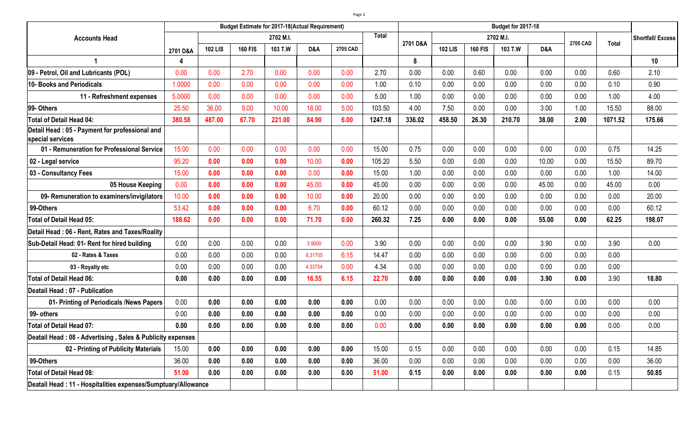|                                                                    |          |                | <b>Budget Estimate for 2017-18(Actual Requirement)</b> |         |         |          |         |          |                |                |         |       |          |              |                          |
|--------------------------------------------------------------------|----------|----------------|--------------------------------------------------------|---------|---------|----------|---------|----------|----------------|----------------|---------|-------|----------|--------------|--------------------------|
| <b>Accounts Head</b>                                               |          | 2702 M.I.      |                                                        |         |         |          |         | 2701 D&A | 2702 M.I.      |                |         |       | 2705 CAD | <b>Total</b> | <b>Shortfall/ Excess</b> |
|                                                                    | 2701 D&A | <b>102 LIS</b> | <b>160 FIS</b>                                         | 103 T.W | D&A     | 2705 CAD |         |          | <b>102 LIS</b> | <b>160 FIS</b> | 103 T.W | D&A   |          |              |                          |
|                                                                    | Δ        |                |                                                        |         |         |          |         | 8        |                |                |         |       |          |              | 10                       |
| 09 - Petrol, Oil and Lubricants (POL)                              | 0.00     | 0.00           | 2.70                                                   | 0.00    | 0.00    | 0.00     | 2.70    | 0.00     | 0.00           | 0.60           | 0.00    | 0.00  | 0.00     | 0.60         | 2.10                     |
| 10- Books and Periodicals                                          | 1.0000   | 0.00           | 0.00                                                   | 0.00    | 0.00    | 0.00     | 1.00    | 0.10     | 0.00           | 0.00           | 0.00    | 0.00  | 0.00     | 0.10         | 0.90                     |
| 11 - Refreshment expenses                                          | 5.0000   | 0.00           | 0.00                                                   | 0.00    | 0.00    | 0.00     | 5.00    | 1.00     | 0.00           | 0.00           | 0.00    | 0.00  | 0.00     | 1.00         | 4.00                     |
| 99- Others                                                         | 25.50    | 36.00          | 9.00                                                   | 10.00   | 18.00   | 5.00     | 103.50  | 4.00     | 7.50           | 0.00           | 0.00    | 3.00  | 1.00     | 15.50        | 88.00                    |
| <b>Total of Detail Head 04:</b>                                    | 380.58   | 487.00         | 67.70                                                  | 221.00  | 84.90   | 6.00     | 1247.18 | 336.02   | 458.50         | 26.30          | 210.70  | 38.00 | 2.00     | 1071.52      | 175.66                   |
| Detail Head: 05 - Payment for professional and<br>special services |          |                |                                                        |         |         |          |         |          |                |                |         |       |          |              |                          |
| 01 - Remuneration for Professional Service                         | 15.00    | 0.00           | 0.00                                                   | 0.00    | 0.00    | 0.00     | 15.00   | 0.75     | 0.00           | 0.00           | 0.00    | 0.00  | 0.00     | 0.75         | 14.25                    |
| 02 - Legal service                                                 | 95.20    | 0.00           | 0.00                                                   | 0.00    | 10.00   | 0.00     | 105.20  | 5.50     | 0.00           | 0.00           | 0.00    | 10.00 | 0.00     | 15.50        | 89.70                    |
| 03 - Consultancy Fees                                              | 15.00    | 0.00           | 0.00                                                   | 0.00    | 0.00    | 0.00     | 15.00   | 1.00     | 0.00           | 0.00           | 0.00    | 0.00  | 0.00     | 1.00         | 14.00                    |
| 05 House Keeping                                                   | 0.00     | 0.00           | 0.00                                                   | 0.00    | 45.00   | 0.00     | 45.00   | 0.00     | 0.00           | 0.00           | 0.00    | 45.00 | 0.00     | 45.00        | 0.00                     |
| 09- Remuneration to examiners/invigilators                         | 10.00    | 0.00           | 0.00                                                   | 0.00    | 10.00   | 0.00     | 20.00   | 0.00     | 0.00           | 0.00           | 0.00    | 0.00  | 0.00     | 0.00         | 20.00                    |
| 99-Others                                                          | 53.42    | 0.00           | 0.00                                                   | 0.00    | 6.70    | 0.00     | 60.12   | 0.00     | 0.00           | 0.00           | 0.00    | 0.00  | 0.00     | 0.00         | 60.12                    |
| <b>Total of Detail Head 05:</b>                                    | 188.62   | 0.00           | 0.00                                                   | 0.00    | 71.70   | 0.00     | 260.32  | 7.25     | 0.00           | 0.00           | 0.00    | 55.00 | 0.00     | 62.25        | 198.07                   |
| Detail Head: 06 - Rent, Rates and Taxes/Roality                    |          |                |                                                        |         |         |          |         |          |                |                |         |       |          |              |                          |
| Sub-Detail Head: 01- Rent for hired building                       | 0.00     | 0.00           | 0.00                                                   | 0.00    | 3.9000  | 0.00     | 3.90    | 0.00     | 0.00           | 0.00           | 0.00    | 3.90  | 0.00     | 3.90         | 0.00                     |
| 02 - Rates & Taxes                                                 | 0.00     | 0.00           | 0.00                                                   | 0.00    | 8.31705 | 6.15     | 14.47   | 0.00     | 0.00           | 0.00           | 0.00    | 0.00  | 0.00     | 0.00         |                          |
| 03 - Royalty etc                                                   | 0.00     | 0.00           | 0.00                                                   | 0.00    | 4.33754 | 0.00     | 4.34    | 0.00     | 0.00           | 0.00           | 0.00    | 0.00  | 0.00     | 0.00         |                          |
| <b>Total of Detail Head 06:</b>                                    | 0.00     | 0.00           | 0.00                                                   | 0.00    | 16.55   | 6.15     | 22.70   | 0.00     | 0.00           | 0.00           | 0.00    | 3.90  | 0.00     | 3.90         | 18.80                    |
| Deatail Head: 07 - Publication                                     |          |                |                                                        |         |         |          |         |          |                |                |         |       |          |              |                          |
| 01- Printing of Periodicals /News Papers                           | 0.00     | 0.00           | 0.00                                                   | 0.00    | 0.00    | 0.00     | 0.00    | 0.00     | 0.00           | 0.00           | 0.00    | 0.00  | 0.00     | 0.00         | 0.00                     |
| 99- others                                                         | 0.00     | 0.00           | 0.00                                                   | 0.00    | 0.00    | 0.00     | 0.00    | 0.00     | 0.00           | 0.00           | 0.00    | 0.00  | 0.00     | 0.00         | 0.00                     |
| Total of Detail Head 07:                                           | 0.00     | 0.00           | 0.00                                                   | 0.00    | 0.00    | 0.00     | 0.00    | 0.00     | 0.00           | 0.00           | 0.00    | 0.00  | 0.00     | 0.00         | 0.00                     |
| Deatail Head: 08 - Advertising, Sales & Publicity expenses         |          |                |                                                        |         |         |          |         |          |                |                |         |       |          |              |                          |
| 02 - Printing of Publicity Materials                               | 15.00    | 0.00           | 0.00                                                   | 0.00    | 0.00    | 0.00     | 15.00   | 0.15     | 0.00           | 0.00           | 0.00    | 0.00  | 0.00     | 0.15         | 14.85                    |
| 99-Others                                                          | 36.00    | 0.00           | 0.00                                                   | 0.00    | 0.00    | 0.00     | 36.00   | 0.00     | 0.00           | 0.00           | 0.00    | 0.00  | 0.00     | 0.00         | 36.00                    |
| <b>Total of Detail Head 08:</b>                                    | 51.00    | 0.00           | 0.00                                                   | 0.00    | 0.00    | 0.00     | 51.00   | 0.15     | 0.00           | 0.00           | 0.00    | 0.00  | 0.00     | 0.15         | 50.85                    |
| Deatail Head : 11 - Hospitalities expenses/Sumptuary/Allowance     |          |                |                                                        |         |         |          |         |          |                |                |         |       |          |              |                          |